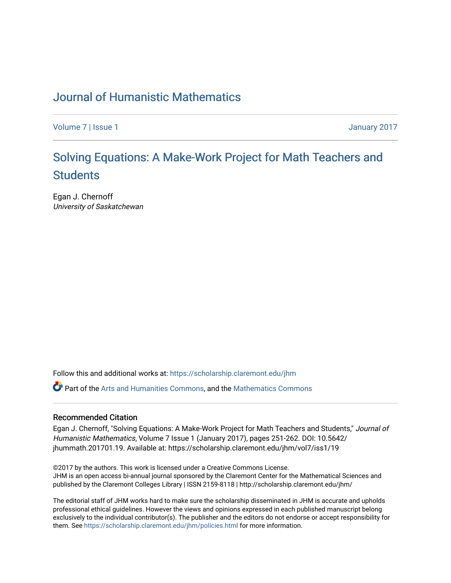### [Journal of Humanistic Mathematics](https://scholarship.claremont.edu/jhm)

[Volume 7](https://scholarship.claremont.edu/jhm/vol7) | [Issue 1](https://scholarship.claremont.edu/jhm/vol7/iss1) January 2017

# Solving Equations: A Make-Work Project for Math Teachers and **[Students](https://scholarship.claremont.edu/jhm/vol7/iss1/19)**

Egan J. Chernoff University of Saskatchewan

Follow this and additional works at: [https://scholarship.claremont.edu/jhm](https://scholarship.claremont.edu/jhm?utm_source=scholarship.claremont.edu%2Fjhm%2Fvol7%2Fiss1%2F19&utm_medium=PDF&utm_campaign=PDFCoverPages)

Part of the [Arts and Humanities Commons,](http://network.bepress.com/hgg/discipline/438?utm_source=scholarship.claremont.edu%2Fjhm%2Fvol7%2Fiss1%2F19&utm_medium=PDF&utm_campaign=PDFCoverPages) and the [Mathematics Commons](http://network.bepress.com/hgg/discipline/174?utm_source=scholarship.claremont.edu%2Fjhm%2Fvol7%2Fiss1%2F19&utm_medium=PDF&utm_campaign=PDFCoverPages) 

#### Recommended Citation

Egan J. Chernoff, "Solving Equations: A Make-Work Project for Math Teachers and Students," Journal of Humanistic Mathematics, Volume 7 Issue 1 (January 2017), pages 251-262. DOI: 10.5642/ jhummath.201701.19. Available at: https://scholarship.claremont.edu/jhm/vol7/iss1/19

©2017 by the authors. This work is licensed under a Creative Commons License. JHM is an open access bi-annual journal sponsored by the Claremont Center for the Mathematical Sciences and published by the Claremont Colleges Library | ISSN 2159-8118 | http://scholarship.claremont.edu/jhm/

The editorial staff of JHM works hard to make sure the scholarship disseminated in JHM is accurate and upholds professional ethical guidelines. However the views and opinions expressed in each published manuscript belong exclusively to the individual contributor(s). The publisher and the editors do not endorse or accept responsibility for them. See<https://scholarship.claremont.edu/jhm/policies.html> for more information.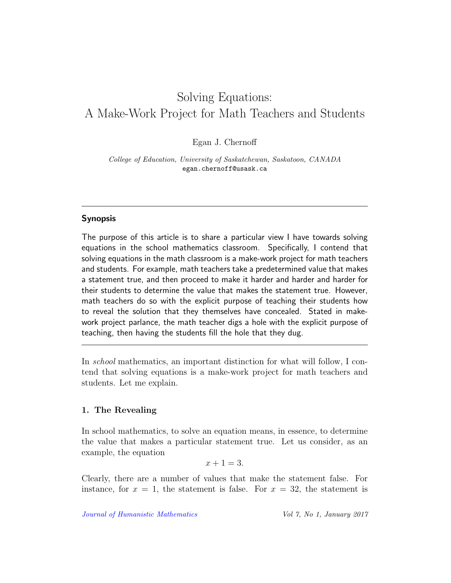# Solving Equations: A Make-Work Project for Math Teachers and Students

Egan J. Chernoff

College of Education, University of Saskatchewan, Saskatoon, CANADA egan.chernoff@usask.ca

### Synopsis

The purpose of this article is to share a particular view I have towards solving equations in the school mathematics classroom. Specifically, I contend that solving equations in the math classroom is a make-work project for math teachers and students. For example, math teachers take a predetermined value that makes a statement true, and then proceed to make it harder and harder and harder for their students to determine the value that makes the statement true. However, math teachers do so with the explicit purpose of teaching their students how to reveal the solution that they themselves have concealed. Stated in makework project parlance, the math teacher digs a hole with the explicit purpose of teaching, then having the students fill the hole that they dug.

In school mathematics, an important distinction for what will follow, I contend that solving equations is a make-work project for math teachers and students. Let me explain.

#### 1. The Revealing

In school mathematics, to solve an equation means, in essence, to determine the value that makes a particular statement true. Let us consider, as an example, the equation

 $x + 1 = 3$ .

Clearly, there are a number of values that make the statement false. For instance, for  $x = 1$ , the statement is false. For  $x = 32$ , the statement is

[Journal of Humanistic Mathematics](http://scholarship.claremont.edu/jhm/) Vol 7, No 1, January 2017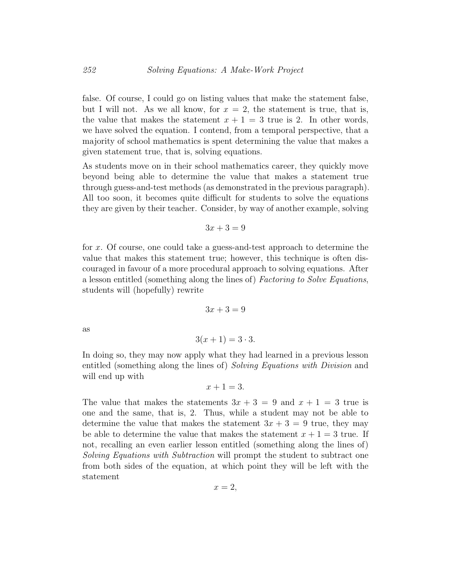false. Of course, I could go on listing values that make the statement false, but I will not. As we all know, for  $x = 2$ , the statement is true, that is, the value that makes the statement  $x + 1 = 3$  true is 2. In other words, we have solved the equation. I contend, from a temporal perspective, that a majority of school mathematics is spent determining the value that makes a given statement true, that is, solving equations.

As students move on in their school mathematics career, they quickly move beyond being able to determine the value that makes a statement true through guess-and-test methods (as demonstrated in the previous paragraph). All too soon, it becomes quite difficult for students to solve the equations they are given by their teacher. Consider, by way of another example, solving

$$
3x + 3 = 9
$$

for x. Of course, one could take a guess-and-test approach to determine the value that makes this statement true; however, this technique is often discouraged in favour of a more procedural approach to solving equations. After a lesson entitled (something along the lines of) Factoring to Solve Equations, students will (hopefully) rewrite

 $3x + 3 = 9$ 

as

$$
3(x+1) = 3 \cdot 3.
$$

In doing so, they may now apply what they had learned in a previous lesson entitled (something along the lines of) Solving Equations with Division and will end up with

$$
x + 1 = 3.
$$

The value that makes the statements  $3x + 3 = 9$  and  $x + 1 = 3$  true is one and the same, that is, 2. Thus, while a student may not be able to determine the value that makes the statement  $3x + 3 = 9$  true, they may be able to determine the value that makes the statement  $x + 1 = 3$  true. If not, recalling an even earlier lesson entitled (something along the lines of) Solving Equations with Subtraction will prompt the student to subtract one from both sides of the equation, at which point they will be left with the statement

$$
x=2,
$$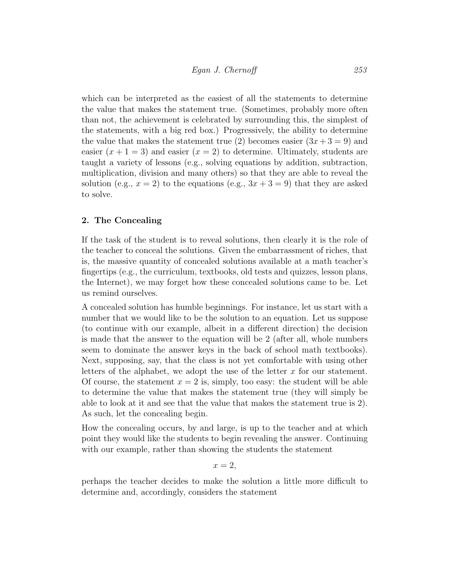which can be interpreted as the easiest of all the statements to determine the value that makes the statement true. (Sometimes, probably more often than not, the achievement is celebrated by surrounding this, the simplest of the statements, with a big red box.) Progressively, the ability to determine the value that makes the statement true (2) becomes easier  $(3x+3=9)$  and easier  $(x + 1 = 3)$  and easier  $(x = 2)$  to determine. Ultimately, students are taught a variety of lessons (e.g., solving equations by addition, subtraction, multiplication, division and many others) so that they are able to reveal the solution (e.g.,  $x = 2$ ) to the equations (e.g.,  $3x + 3 = 9$ ) that they are asked to solve.

#### 2. The Concealing

If the task of the student is to reveal solutions, then clearly it is the role of the teacher to conceal the solutions. Given the embarrassment of riches, that is, the massive quantity of concealed solutions available at a math teacher's fingertips (e.g., the curriculum, textbooks, old tests and quizzes, lesson plans, the Internet), we may forget how these concealed solutions came to be. Let us remind ourselves.

A concealed solution has humble beginnings. For instance, let us start with a number that we would like to be the solution to an equation. Let us suppose (to continue with our example, albeit in a different direction) the decision is made that the answer to the equation will be 2 (after all, whole numbers seem to dominate the answer keys in the back of school math textbooks). Next, supposing, say, that the class is not yet comfortable with using other letters of the alphabet, we adopt the use of the letter  $x$  for our statement. Of course, the statement  $x = 2$  is, simply, too easy: the student will be able to determine the value that makes the statement true (they will simply be able to look at it and see that the value that makes the statement true is 2). As such, let the concealing begin.

How the concealing occurs, by and large, is up to the teacher and at which point they would like the students to begin revealing the answer. Continuing with our example, rather than showing the students the statement

 $x=2$ ,

perhaps the teacher decides to make the solution a little more difficult to determine and, accordingly, considers the statement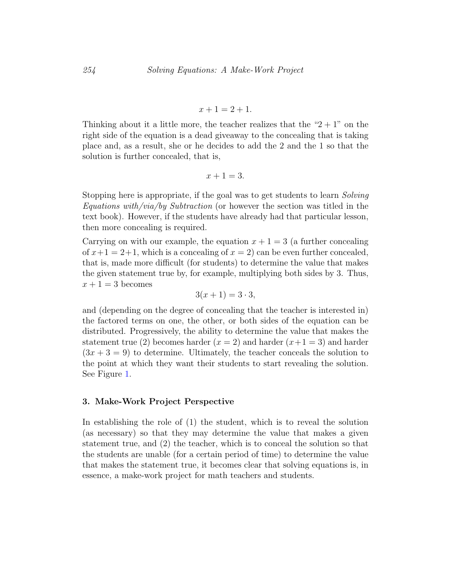$$
x + 1 = 2 + 1.
$$

Thinking about it a little more, the teacher realizes that the " $2 + 1$ " on the right side of the equation is a dead giveaway to the concealing that is taking place and, as a result, she or he decides to add the 2 and the 1 so that the solution is further concealed, that is,

$$
x + 1 = 3.
$$

Stopping here is appropriate, if the goal was to get students to learn Solving Equations with/via/by Subtraction (or however the section was titled in the text book). However, if the students have already had that particular lesson, then more concealing is required.

Carrying on with our example, the equation  $x + 1 = 3$  (a further concealing of  $x+1=2+1$ , which is a concealing of  $x=2$ ) can be even further concealed, that is, made more difficult (for students) to determine the value that makes the given statement true by, for example, multiplying both sides by 3. Thus,  $x + 1 = 3$  becomes

$$
3(x+1) = 3 \cdot 3,
$$

and (depending on the degree of concealing that the teacher is interested in) the factored terms on one, the other, or both sides of the equation can be distributed. Progressively, the ability to determine the value that makes the statement true (2) becomes harder  $(x = 2)$  and harder  $(x+1=3)$  and harder  $(3x + 3 = 9)$  to determine. Ultimately, the teacher conceals the solution to the point at which they want their students to start revealing the solution. See Figure [1.](#page-5-0)

#### 3. Make-Work Project Perspective

In establishing the role of (1) the student, which is to reveal the solution (as necessary) so that they may determine the value that makes a given statement true, and (2) the teacher, which is to conceal the solution so that the students are unable (for a certain period of time) to determine the value that makes the statement true, it becomes clear that solving equations is, in essence, a make-work project for math teachers and students.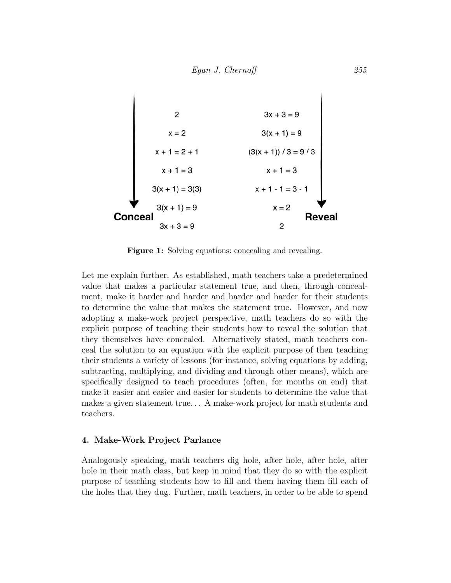<span id="page-5-0"></span>

Figure 1: Solving equations: concealing and revealing.

Let me explain further. As established, math teachers take a predetermined value that makes a particular statement true, and then, through concealment, make it harder and harder and harder and harder for their students to determine the value that makes the statement true. However, and now adopting a make-work project perspective, math teachers do so with the explicit purpose of teaching their students how to reveal the solution that they themselves have concealed. Alternatively stated, math teachers conceal the solution to an equation with the explicit purpose of then teaching their students a variety of lessons (for instance, solving equations by adding, subtracting, multiplying, and dividing and through other means), which are specifically designed to teach procedures (often, for months on end) that make it easier and easier and easier for students to determine the value that makes a given statement true. . . A make-work project for math students and teachers.

#### 4. Make-Work Project Parlance

Analogously speaking, math teachers dig hole, after hole, after hole, after hole in their math class, but keep in mind that they do so with the explicit purpose of teaching students how to fill and them having them fill each of the holes that they dug. Further, math teachers, in order to be able to spend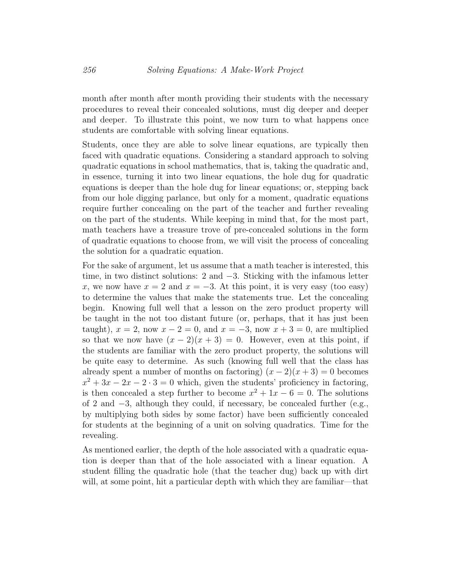month after month after month providing their students with the necessary procedures to reveal their concealed solutions, must dig deeper and deeper and deeper. To illustrate this point, we now turn to what happens once students are comfortable with solving linear equations.

Students, once they are able to solve linear equations, are typically then faced with quadratic equations. Considering a standard approach to solving quadratic equations in school mathematics, that is, taking the quadratic and, in essence, turning it into two linear equations, the hole dug for quadratic equations is deeper than the hole dug for linear equations; or, stepping back from our hole digging parlance, but only for a moment, quadratic equations require further concealing on the part of the teacher and further revealing on the part of the students. While keeping in mind that, for the most part, math teachers have a treasure trove of pre-concealed solutions in the form of quadratic equations to choose from, we will visit the process of concealing the solution for a quadratic equation.

For the sake of argument, let us assume that a math teacher is interested, this time, in two distinct solutions: 2 and −3. Sticking with the infamous letter x, we now have  $x = 2$  and  $x = -3$ . At this point, it is very easy (too easy) to determine the values that make the statements true. Let the concealing begin. Knowing full well that a lesson on the zero product property will be taught in the not too distant future (or, perhaps, that it has just been taught),  $x = 2$ , now  $x - 2 = 0$ , and  $x = -3$ , now  $x + 3 = 0$ , are multiplied so that we now have  $(x - 2)(x + 3) = 0$ . However, even at this point, if the students are familiar with the zero product property, the solutions will be quite easy to determine. As such (knowing full well that the class has already spent a number of months on factoring)  $(x-2)(x+3) = 0$  becomes  $x^2 + 3x - 2x - 2 \cdot 3 = 0$  which, given the students' proficiency in factoring, is then concealed a step further to become  $x^2 + 1x - 6 = 0$ . The solutions of 2 and  $-3$ , although they could, if necessary, be concealed further (e.g., by multiplying both sides by some factor) have been sufficiently concealed for students at the beginning of a unit on solving quadratics. Time for the revealing.

As mentioned earlier, the depth of the hole associated with a quadratic equation is deeper than that of the hole associated with a linear equation. A student filling the quadratic hole (that the teacher dug) back up with dirt will, at some point, hit a particular depth with which they are familiar—that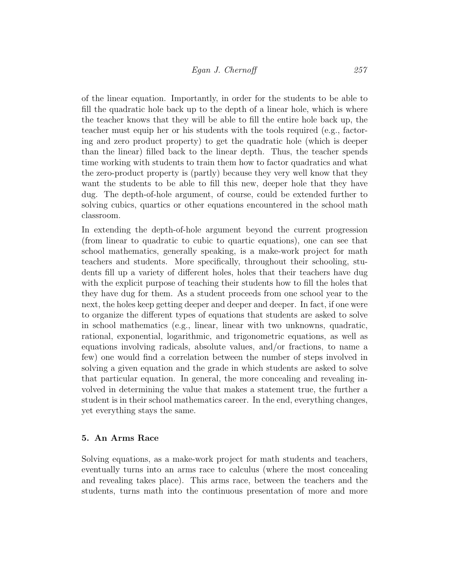of the linear equation. Importantly, in order for the students to be able to fill the quadratic hole back up to the depth of a linear hole, which is where the teacher knows that they will be able to fill the entire hole back up, the teacher must equip her or his students with the tools required (e.g., factoring and zero product property) to get the quadratic hole (which is deeper than the linear) filled back to the linear depth. Thus, the teacher spends time working with students to train them how to factor quadratics and what the zero-product property is (partly) because they very well know that they want the students to be able to fill this new, deeper hole that they have dug. The depth-of-hole argument, of course, could be extended further to solving cubics, quartics or other equations encountered in the school math classroom.

In extending the depth-of-hole argument beyond the current progression (from linear to quadratic to cubic to quartic equations), one can see that school mathematics, generally speaking, is a make-work project for math teachers and students. More specifically, throughout their schooling, students fill up a variety of different holes, holes that their teachers have dug with the explicit purpose of teaching their students how to fill the holes that they have dug for them. As a student proceeds from one school year to the next, the holes keep getting deeper and deeper and deeper. In fact, if one were to organize the different types of equations that students are asked to solve in school mathematics (e.g., linear, linear with two unknowns, quadratic, rational, exponential, logarithmic, and trigonometric equations, as well as equations involving radicals, absolute values, and/or fractions, to name a few) one would find a correlation between the number of steps involved in solving a given equation and the grade in which students are asked to solve that particular equation. In general, the more concealing and revealing involved in determining the value that makes a statement true, the further a student is in their school mathematics career. In the end, everything changes, yet everything stays the same.

#### 5. An Arms Race

Solving equations, as a make-work project for math students and teachers, eventually turns into an arms race to calculus (where the most concealing and revealing takes place). This arms race, between the teachers and the students, turns math into the continuous presentation of more and more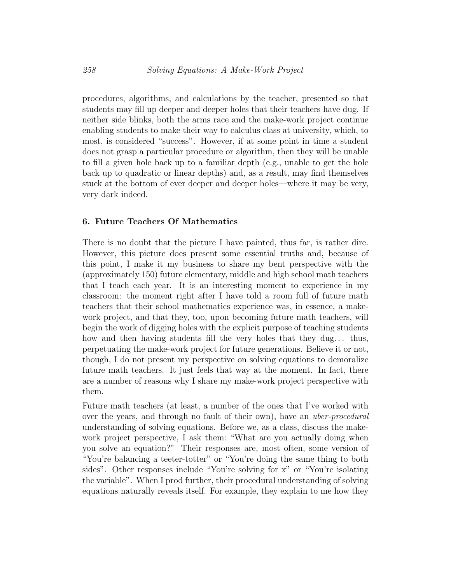procedures, algorithms, and calculations by the teacher, presented so that students may fill up deeper and deeper holes that their teachers have dug. If neither side blinks, both the arms race and the make-work project continue enabling students to make their way to calculus class at university, which, to most, is considered "success". However, if at some point in time a student does not grasp a particular procedure or algorithm, then they will be unable to fill a given hole back up to a familiar depth (e.g., unable to get the hole back up to quadratic or linear depths) and, as a result, may find themselves stuck at the bottom of ever deeper and deeper holes—where it may be very, very dark indeed.

#### 6. Future Teachers Of Mathematics

There is no doubt that the picture I have painted, thus far, is rather dire. However, this picture does present some essential truths and, because of this point, I make it my business to share my bent perspective with the (approximately 150) future elementary, middle and high school math teachers that I teach each year. It is an interesting moment to experience in my classroom: the moment right after I have told a room full of future math teachers that their school mathematics experience was, in essence, a makework project, and that they, too, upon becoming future math teachers, will begin the work of digging holes with the explicit purpose of teaching students how and then having students fill the very holes that they dug... thus, perpetuating the make-work project for future generations. Believe it or not, though, I do not present my perspective on solving equations to demoralize future math teachers. It just feels that way at the moment. In fact, there are a number of reasons why I share my make-work project perspective with them.

Future math teachers (at least, a number of the ones that I've worked with over the years, and through no fault of their own), have an *uber-procedural* understanding of solving equations. Before we, as a class, discuss the makework project perspective, I ask them: "What are you actually doing when you solve an equation?" Their responses are, most often, some version of "You're balancing a teeter-totter" or "You're doing the same thing to both sides". Other responses include "You're solving for x" or "You're isolating the variable". When I prod further, their procedural understanding of solving equations naturally reveals itself. For example, they explain to me how they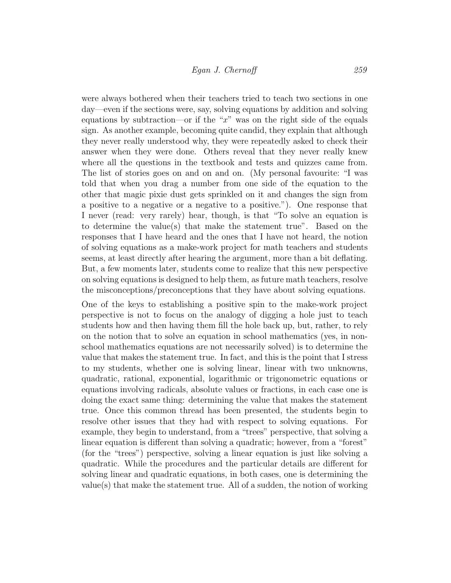were always bothered when their teachers tried to teach two sections in one day—even if the sections were, say, solving equations by addition and solving equations by subtraction—or if the " $x$ " was on the right side of the equals sign. As another example, becoming quite candid, they explain that although they never really understood why, they were repeatedly asked to check their answer when they were done. Others reveal that they never really knew where all the questions in the textbook and tests and quizzes came from. The list of stories goes on and on and on. (My personal favourite: "I was told that when you drag a number from one side of the equation to the other that magic pixie dust gets sprinkled on it and changes the sign from a positive to a negative or a negative to a positive."). One response that I never (read: very rarely) hear, though, is that "To solve an equation is to determine the value(s) that make the statement true". Based on the responses that I have heard and the ones that I have not heard, the notion of solving equations as a make-work project for math teachers and students seems, at least directly after hearing the argument, more than a bit deflating. But, a few moments later, students come to realize that this new perspective on solving equations is designed to help them, as future math teachers, resolve the misconceptions/preconceptions that they have about solving equations.

One of the keys to establishing a positive spin to the make-work project perspective is not to focus on the analogy of digging a hole just to teach students how and then having them fill the hole back up, but, rather, to rely on the notion that to solve an equation in school mathematics (yes, in nonschool mathematics equations are not necessarily solved) is to determine the value that makes the statement true. In fact, and this is the point that I stress to my students, whether one is solving linear, linear with two unknowns, quadratic, rational, exponential, logarithmic or trigonometric equations or equations involving radicals, absolute values or fractions, in each case one is doing the exact same thing: determining the value that makes the statement true. Once this common thread has been presented, the students begin to resolve other issues that they had with respect to solving equations. For example, they begin to understand, from a "trees" perspective, that solving a linear equation is different than solving a quadratic; however, from a "forest" (for the "trees") perspective, solving a linear equation is just like solving a quadratic. While the procedures and the particular details are different for solving linear and quadratic equations, in both cases, one is determining the value(s) that make the statement true. All of a sudden, the notion of working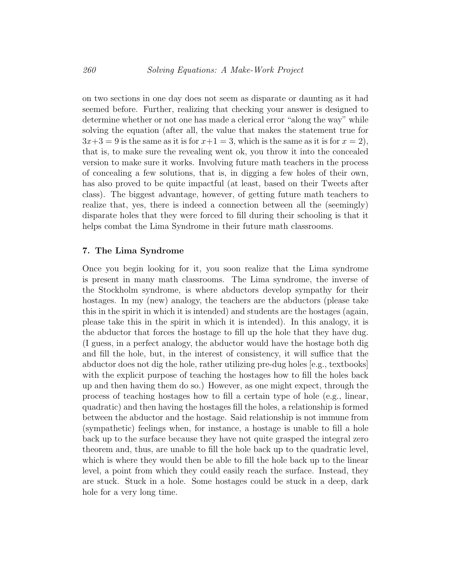on two sections in one day does not seem as disparate or daunting as it had seemed before. Further, realizing that checking your answer is designed to determine whether or not one has made a clerical error "along the way" while solving the equation (after all, the value that makes the statement true for  $3x+3=9$  is the same as it is for  $x+1=3$ , which is the same as it is for  $x=2$ ), that is, to make sure the revealing went ok, you throw it into the concealed version to make sure it works. Involving future math teachers in the process of concealing a few solutions, that is, in digging a few holes of their own, has also proved to be quite impactful (at least, based on their Tweets after class). The biggest advantage, however, of getting future math teachers to realize that, yes, there is indeed a connection between all the (seemingly) disparate holes that they were forced to fill during their schooling is that it helps combat the Lima Syndrome in their future math classrooms.

#### 7. The Lima Syndrome

Once you begin looking for it, you soon realize that the Lima syndrome is present in many math classrooms. The Lima syndrome, the inverse of the Stockholm syndrome, is where abductors develop sympathy for their hostages. In my (new) analogy, the teachers are the abductors (please take this in the spirit in which it is intended) and students are the hostages (again, please take this in the spirit in which it is intended). In this analogy, it is the abductor that forces the hostage to fill up the hole that they have dug. (I guess, in a perfect analogy, the abductor would have the hostage both dig and fill the hole, but, in the interest of consistency, it will suffice that the abductor does not dig the hole, rather utilizing pre-dug holes [e.g., textbooks] with the explicit purpose of teaching the hostages how to fill the holes back up and then having them do so.) However, as one might expect, through the process of teaching hostages how to fill a certain type of hole (e.g., linear, quadratic) and then having the hostages fill the holes, a relationship is formed between the abductor and the hostage. Said relationship is not immune from (sympathetic) feelings when, for instance, a hostage is unable to fill a hole back up to the surface because they have not quite grasped the integral zero theorem and, thus, are unable to fill the hole back up to the quadratic level, which is where they would then be able to fill the hole back up to the linear level, a point from which they could easily reach the surface. Instead, they are stuck. Stuck in a hole. Some hostages could be stuck in a deep, dark hole for a very long time.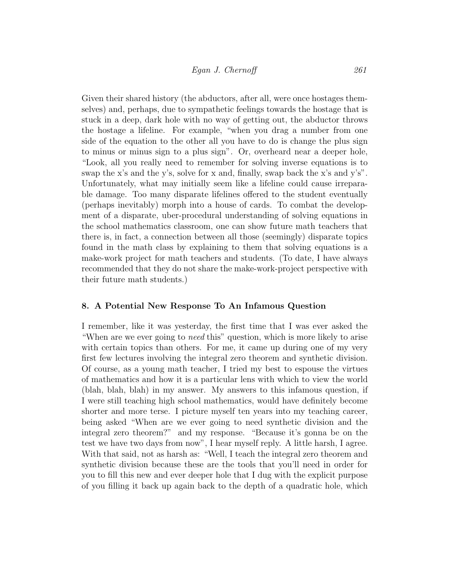Given their shared history (the abductors, after all, were once hostages themselves) and, perhaps, due to sympathetic feelings towards the hostage that is stuck in a deep, dark hole with no way of getting out, the abductor throws the hostage a lifeline. For example, "when you drag a number from one side of the equation to the other all you have to do is change the plus sign to minus or minus sign to a plus sign". Or, overheard near a deeper hole, "Look, all you really need to remember for solving inverse equations is to swap the x's and the y's, solve for x and, finally, swap back the x's and y's". Unfortunately, what may initially seem like a lifeline could cause irreparable damage. Too many disparate lifelines offered to the student eventually (perhaps inevitably) morph into a house of cards. To combat the development of a disparate, uber-procedural understanding of solving equations in the school mathematics classroom, one can show future math teachers that there is, in fact, a connection between all those (seemingly) disparate topics found in the math class by explaining to them that solving equations is a make-work project for math teachers and students. (To date, I have always recommended that they do not share the make-work-project perspective with their future math students.)

#### 8. A Potential New Response To An Infamous Question

I remember, like it was yesterday, the first time that I was ever asked the "When are we ever going to need this" question, which is more likely to arise with certain topics than others. For me, it came up during one of my very first few lectures involving the integral zero theorem and synthetic division. Of course, as a young math teacher, I tried my best to espouse the virtues of mathematics and how it is a particular lens with which to view the world (blah, blah, blah) in my answer. My answers to this infamous question, if I were still teaching high school mathematics, would have definitely become shorter and more terse. I picture myself ten years into my teaching career, being asked "When are we ever going to need synthetic division and the integral zero theorem?" and my response. "Because it's gonna be on the test we have two days from now", I hear myself reply. A little harsh, I agree. With that said, not as harsh as: "Well, I teach the integral zero theorem and synthetic division because these are the tools that you'll need in order for you to fill this new and ever deeper hole that I dug with the explicit purpose of you filling it back up again back to the depth of a quadratic hole, which